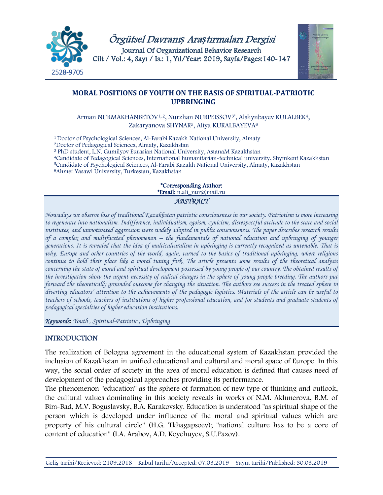

# **MORAL POSITIONS OF YOUTH ON THE BASIS OF SPIRITUAL-PATRIOTIC UPBRINGING**

Arman NURMAKHANBETOV<sup>1, 2</sup>, Nurzhan NURPEISSOV<sup>3\*</sup>, Alshynbayev KULALBEK<sup>4</sup>, Zakaryanova SHYNAR5, Aliya KURALBAYEVA<sup>6</sup>

1 Doctor of Psychological Sciences, Al-Farabi Kazakh National University, Almaty 2Doctor of Pedagogical Sciences, Almaty, Kazakhstan <sup>3</sup> PhD student, L.N. Gumilyov Eurasian National University, AstanaM Kazakhstan 4Candidate of Pedagogical Sciences, International humanitarian-technical university, Shymkent Kazakhstan <sup>5</sup>Candidate of Psychological Sciences, Al-Farabi Kazakh National University, Almaty, Kazakhstan <sup>6</sup>Ahmet Yasawi University, Turkestan, Kazakhstan

#### \*Corresponding Author: \*Email: n.ali\_nur@mail.ru

### *ABSTRACT*

*Nowadays we observe loss of traditional Kazakhstan patriotic consciousness in our society. Patriotism is more increasing to regenerate into nationalism. Indifference, individualism, egoism, cynicism, disrespectful attitude to the state and social institutes, and unmotivated aggression were widely adopted in public consciousness. The paper describes research results of a complex and multifaceted phenomenon – the fundamentals of national education and upbringing of younger generations. It is revealed that the idea of multiculturalism in upbringing is currently recognized as untenable. That is why, Europe and other countries of the world, again, turned to the basics of traditional upbringing, where religions continue to hold their place like a moral tuning fork. The article presents some results of the theoretical analysis concerning the state of moral and spiritual development possessed by young people of our country. The obtained results of the investigation show the urgent necessity of radical changes in the sphere of young people breeding. The authors put forward the theoretically grounded outcome for changing the situation. The authors see success in the treated sphere in diverting educators' attention to the achievements of the pedagogic logistics. Materials of the article can be useful to teachers of schools, teachers of institutions of higher professional education, and for students and graduate students of pedagogical specialties of higher education institutions.* 

*Keywords*: *Youth , Spiritual-Patriotic , Upbringing*

## INTRODUCTION

The realization of Bologna agreement in the educational system of Kazakhstan provided the inclusion of Kazakhstan in unified educational and cultural and moral space of Europe. In this way, the social order of society in the area of moral education is defined that causes need of development of the pedagogical approaches providing its performance.

The phenomenon "education" as the sphere of formation of new type of thinking and outlook, the cultural values dominating in this society reveals in works of N.M. Akhmerova, B.M. of Bim-Bad, M.V. Boguslavsky, B.A. Karakovsky. Education is understood "as spiritual shape of the person which is developed under influence of the moral and spiritual values which are property of his cultural circle" (H.G. Tkhagapsoev); "national culture has to be a core of content of education" (I.A. Arabov, A.D. Koychuyev, S.U.Pazov).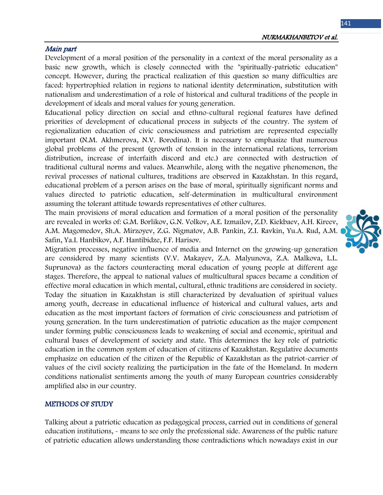#### Main part

Development of a moral position of the personality in a context of the moral personality as a basic new growth, which is closely connected with the "spiritually-patriotic education" concept. However, during the practical realization of this question so many difficulties are faced: hypertrophied relation in regions to national identity determination, substitution with nationalism and underestimation of a role of historical and cultural traditions of the people in development of ideals and moral values for young generation.

Educational policy direction on social and ethno-cultural regional features have defined priorities of development of educational process in subjects of the country. The system of regionalization education of civic consciousness and patriotism are represented especially important (N.M. Akhmerova, N.V. Borodina). It is necessary to emphasize that numerous global problems of the present (growth of tension in the international relations, terrorism distribution, increase of interfaith discord and etc.) are connected with destruction of traditional cultural norms and values. Meanwhile, along with the negative phenomenon, the revival processes of national cultures, traditions are observed in Kazakhstan. In this regard, educational problem of a person arises on the base of moral, spiritually significant norms and values directed to patriotic education, self-determination in multicultural environment assuming the tolerant attitude towards representatives of other cultures.

The main provisions of moral education and formation of a moral position of the personality are revealed in works of: G.M. Borlikov, G.N. Volkov, A.E. Izmailov, Z.D. Kiekbaev, A.H. Kireev, A.M. Magomedov, Sh.A. Mirzoyev, Z.G. Nigmatov, A.B. Pankin, Z.I. Ravkin, Yu.A. Rud, A.M. Safin, Ya.I. Hanbikov, A.F. Hantibidze, F.F. Harisov.

Migration processes, negative influence of media and Internet on the growing-up generation are considered by many scientists (V.V. Makayev, Z.A. Malyunova, Z.A. Malkova, L.L. Suprunova) as the factors counteracting moral education of young people at different age stages. Therefore, the appeal to national values of multicultural spaces became a condition of effective moral education in which mental, cultural, ethnic traditions are considered in society. Today the situation in Kazakhstan is still characterized by devaluation of spiritual values among youth, decrease in educational influence of historical and cultural values, arts and education as the most important factors of formation of civic consciousness and patriotism of young generation. In the turn underestimation of patriotic education as the major component under forming public consciousness leads to weakening of social and economic, spiritual and cultural bases of development of society and state. This determines the key role of patriotic education in the common system of education of citizens of Kazakhstan. Regulative documents emphasize on education of the citizen of the Republic of Kazakhstan as the patriot-carrier of values of the civil society realizing the participation in the fate of the Homeland. In modern conditions nationalist sentiments among the youth of many European countries considerably amplified also in our country.

### METHODS OF STUDY

Talking about a patriotic education as pedagogical process, carried out in conditions of general education institutions, - means to see only the professional side. Awareness of the public nature of patriotic education allows understanding those contradictions which nowadays exist in our

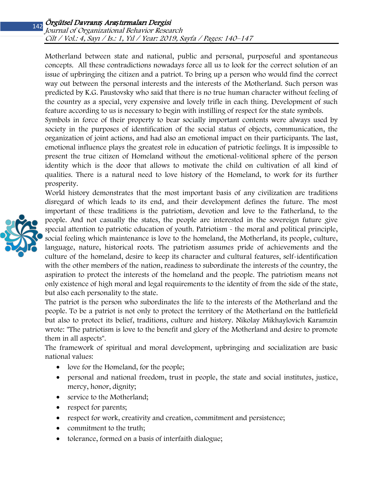Motherland between state and national, public and personal, purposeful and spontaneous concepts. All these contradictions nowadays force all us to look for the correct solution of an issue of upbringing the citizen and a patriot. To bring up a person who would find the correct way out between the personal interests and the interests of the Motherland. Such person was predicted by K.G. Paustovsky who said that there is no true human character without feeling of the country as a special, very expensive and lovely trifle in each thing. Development of such feature according to us is necessary to begin with instilling of respect for the state symbols.

Symbols in force of their property to bear socially important contents were always used by society in the purposes of identification of the social status of objects, communication, the organization of joint actions, and had also an emotional impact on their participants. The last, emotional influence plays the greatest role in education of patriotic feelings. It is impossible to present the true citizen of Homeland without the emotional-volitional sphere of the person identity which is the door that allows to motivate the child on cultivation of all kind of qualities. There is a natural need to love history of the Homeland, to work for its further prosperity.



World history demonstrates that the most important basis of any civilization are traditions disregard of which leads to its end, and their development defines the future. The most important of these traditions is the patriotism, devotion and love to the Fatherland, to the people. And not casually the states, the people are interested in the sovereign future give special attention to patriotic education of youth. Patriotism - the moral and political principle, social feeling which maintenance is love to the homeland, the Motherland, its people, culture, language, nature, historical roots. The patriotism assumes pride of achievements and the culture of the homeland, desire to keep its character and cultural features, self-identification with the other members of the nation, readiness to subordinate the interests of the country, the aspiration to protect the interests of the homeland and the people. The patriotism means not only existence of high moral and legal requirements to the identity of from the side of the state, but also each personality to the state.

The patriot is the person who subordinates the life to the interests of the Motherland and the people. To be a patriot is not only to protect the territory of the Motherland on the battlefield but also to protect its belief, traditions, culture and history. Nikolay Mikhaylovich Karamzin wrote: "The patriotism is love to the benefit and glory of the Motherland and desire to promote them in all aspects".

The framework of spiritual and moral development, upbringing and socialization are basic national values:

- love for the Homeland, for the people;
- personal and national freedom, trust in people, the state and social institutes, justice, mercy, honor, dignity;
- service to the Motherland;
- respect for parents;
- respect for work, creativity and creation, commitment and persistence;
- commitment to the truth;
- tolerance, formed on a basis of interfaith dialogue;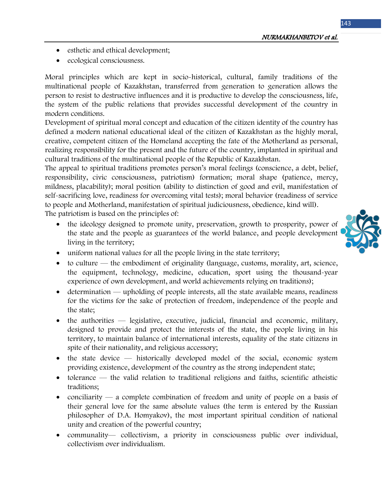- esthetic and ethical development;
- ecological consciousness.

Moral principles which are kept in socio-historical, cultural, family traditions of the multinational people of Kazakhstan, transferred from generation to generation allows the person to resist to destructive influences and it is productive to develop the consciousness, life, the system of the public relations that provides successful development of the country in modern conditions.

Development of spiritual moral concept and education of the citizen identity of the country has defined a modern national educational ideal of the citizen of Kazakhstan as the highly moral, creative, competent citizen of the Homeland accepting the fate of the Motherland as personal, realizing responsibility for the present and the future of the country, implanted in spiritual and cultural traditions of the multinational people of the Republic of Kazakhstan.

The appeal to spiritual traditions promotes person's moral feelings (conscience, a debt, belief, responsibility, civic consciousness, patriotism) formation; moral shape (patience, mercy, mildness, placability); moral position (ability to distinction of good and evil, manifestation of self-sacrificing love, readiness for overcoming vital tests); moral behavior (readiness of service to people and Motherland, manifestation of spiritual judiciousness, obedience, kind will). The patriotism is based on the principles of:

- the ideology designed to promote unity, preservation, growth to prosperity, power of the state and the people as guarantees of the world balance, and people development living in the territory;
- 
- uniform national values for all the people living in the state territory;
- to culture the embodiment of originality (language, customs, morality, art, science, the equipment, technology, medicine, education, sport using the thousand-year experience of own development, and world achievements relying on traditions);
- determination upholding of people interests, all the state available means, readiness for the victims for the sake of protection of freedom, independence of the people and the state;
- $\bullet$  the authorities legislative, executive, judicial, financial and economic, military, designed to provide and protect the interests of the state, the people living in his territory, to maintain balance of international interests, equality of the state citizens in spite of their nationality, and religious accessory;
- the state device historically developed model of the social, economic system providing existence, development of the country as the strong independent state;
- tolerance the valid relation to traditional religions and faiths, scientific atheistic traditions;
- conciliarity a complete combination of freedom and unity of people on a basis of their general love for the same absolute values (the term is entered by the Russian philosopher of D.A. Homyakov), the most important spiritual condition of national unity and creation of the powerful country;
- communality— collectivism, a priority in consciousness public over individual, collectivism over individualism.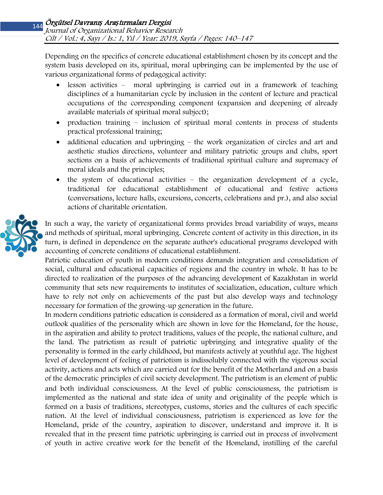Depending on the specifics of concrete educational establishment chosen by its concept and the system basis developed on its, spiritual, moral upbringing can be implemented by the use of various organizational forms of pedagogical activity:

- lesson activities moral upbringing is carried out in a framework of teaching disciplines of a humanitarian cycle by inclusion in the content of lecture and practical occupations of the corresponding component (expansion and deepening of already available materials of spiritual moral subject);
- production training inclusion of spiritual moral contents in process of students practical professional training;
- additional education and upbringing the work organization of circles and art and aesthetic studios directions, volunteer and military patriotic groups and clubs, sport sections on a basis of achievements of traditional spiritual culture and supremacy of moral ideals and the principles;
- the system of educational activities the organization development of a cycle, traditional for educational establishment of educational and festive actions (conversations, lecture halls, excursions, concerts, celebrations and pr.), and also social actions of charitable orientation.



In such a way, the variety of organizational forms provides broad variability of ways, means and methods of spiritual, moral upbringing. Concrete content of activity in this direction, in its turn, is defined in dependence on the separate author's educational programs developed with accounting of concrete conditions of educational establishment.

Patriotic education of youth in modern conditions demands integration and consolidation of social, cultural and educational capacities of regions and the country in whole. It has to be directed to realization of the purposes of the advancing development of Kazakhstan in world community that sets new requirements to institutes of socialization, education, culture which have to rely not only on achievements of the past but also develop ways and technology necessary for formation of the growing-up generation in the future.

In modern conditions patriotic education is considered as a formation of moral, civil and world outlook qualities of the personality which are shown in love for the Homeland, for the house, in the aspiration and ability to protect traditions, values of the people, the national culture, and the land. The patriotism as result of patriotic upbringing and integrative quality of the personality is formed in the early childhood, but manifests actively at youthful age. The highest level of development of feeling of patriotism is indissolubly connected with the vigorous social activity, actions and acts which are carried out for the benefit of the Motherland and on a basis of the democratic principles of civil society development. The patriotism is an element of public and both individual consciousness. At the level of public consciousness, the patriotism is implemented as the national and state idea of unity and originality of the people which is formed on a basis of traditions, stereotypes, customs, stories and the cultures of each specific nation. At the level of individual consciousness, patriotism is experienced as love for the Homeland, pride of the country, aspiration to discover, understand and improve it. It is revealed that in the present time patriotic upbringing is carried out in process of involvement of youth in active creative work for the benefit of the Homeland, instilling of the careful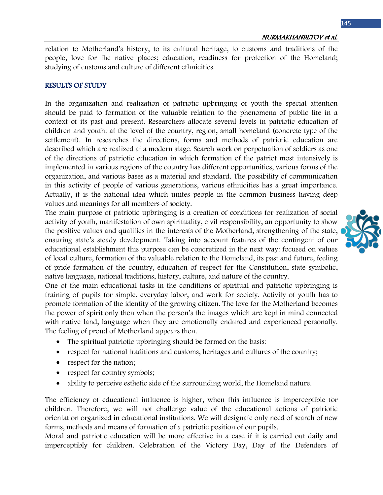relation to Motherland's history, to its cultural heritage, to customs and traditions of the people, love for the native places; education, readiness for protection of the Homeland; studying of customs and culture of different ethnicities.

## RESULTS OF STUDY

In the organization and realization of patriotic upbringing of youth the special attention should be paid to formation of the valuable relation to the phenomena of public life in a context of its past and present. Researchers allocate several levels in patriotic education of children and youth: at the level of the country, region, small homeland (concrete type of the settlement). In researches the directions, forms and methods of patriotic education are described which are realized at a modern stage. Search work on perpetuation of soldiers as one of the directions of patriotic education in which formation of the patriot most intensively is implemented in various regions of the country has different opportunities, various forms of the organization, and various bases as a material and standard. The possibility of communication in this activity of people of various generations, various ethnicities has a great importance. Actually, it is the national idea which unites people in the common business having deep values and meanings for all members of society.

The main purpose of patriotic upbringing is a creation of conditions for realization of social activity of youth, manifestation of own spirituality, civil responsibility, an opportunity to show the positive values and qualities in the interests of the Motherland, strengthening of the state, ensuring state's steady development. Taking into account features of the contingent of our educational establishment this purpose can be concretized in the next way: focused on values of local culture, formation of the valuable relation to the Homeland, its past and future, feeling of pride formation of the country, education of respect for the Constitution, state symbolic, native language, national traditions, history, culture, and nature of the country.

One of the main educational tasks in the conditions of spiritual and patriotic upbringing is training of pupils for simple, everyday labor, and work for society. Activity of youth has to promote formation of the identity of the growing citizen. The love for the Motherland becomes the power of spirit only then when the person's the images which are kept in mind connected with native land, language when they are emotionally endured and experienced personally. The feeling of proud of Motherland appears then.

- The spiritual patriotic upbringing should be formed on the basis:
- respect for national traditions and customs, heritages and cultures of the country;
- respect for the nation;
- respect for country symbols;
- ability to perceive esthetic side of the surrounding world, the Homeland nature.

The efficiency of educational influence is higher, when this influence is imperceptible for children. Therefore, we will not challenge value of the educational actions of patriotic orientation organized in educational institutions. We will designate only need of search of new forms, methods and means of formation of a patriotic position of our pupils.

Moral and patriotic education will be more effective in a case if it is carried out daily and imperceptibly for children. Celebration of the Victory Day, Day of the Defenders of

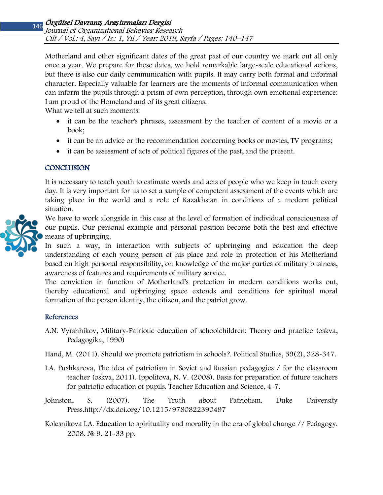Motherland and other significant dates of the great past of our country we mark out all only once a year. We prepare for these dates, we hold remarkable large-scale educational actions, but there is also our daily communication with pupils. It may carry both formal and informal character. Especially valuable for learners are the moments of informal communication when can inform the pupils through a prism of own perception, through own emotional experience: I am proud of the Homeland and of its great citizens.

What we tell at such moments:

- it can be the teacher's phrases, assessment by the teacher of content of a movie or a book;
- it can be an advice or the recommendation concerning books or movies, TV programs;
- it can be assessment of acts of political figures of the past, and the present.

# **CONCLUSION**

It is necessary to teach youth to estimate words and acts of people who we keep in touch every day. It is very important for us to set a sample of competent assessment of the events which are taking place in the world and a role of Kazakhstan in conditions of a modern political situation.



We have to work alongside in this case at the level of formation of individual consciousness of our pupils. Our personal example and personal position become both the best and effective means of upbringing.

In such a way, in interaction with subjects of upbringing and education the deep understanding of each young person of his place and role in protection of his Motherland based on high personal responsibility, on knowledge of the major parties of military business, awareness of features and requirements of military service.

The conviction in function of Motherland's protection in modern conditions works out, thereby educational and upbringing space extends and conditions for spiritual moral formation of the person identity, the citizen, and the patriot grow.

## References

A.N. Vyrshhikov, Military-Patriotic education of schoolchildren: Theory and practice (oskva, Pedagogika, 1990)

Hand, M. (2011). Should we promote patriotism in schools?. Political Studies, 59(2), 328-347.

- I.A. Pushkareva, The idea of patriotism in Soviet and Russian pedagogics / for the classroom teacher (oskva, 2011). Ippolitova, N. V. (2008). Basis for preparation of future teachers for patriotic education of pupils. Teacher Education and Science, 4-7.
- Johnston, S. (2007). The Truth about Patriotism. Duke University Press.http://dx.doi.org/10.1215/9780822390497
- Kolesnikova I.A. Education to spirituality and morality in the era of global change // Pedagogy. 2008. № 9. 21-33 pp.